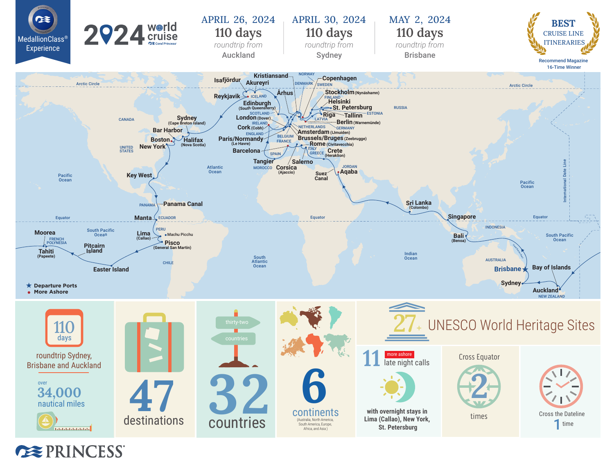

**EXPRINCESS**